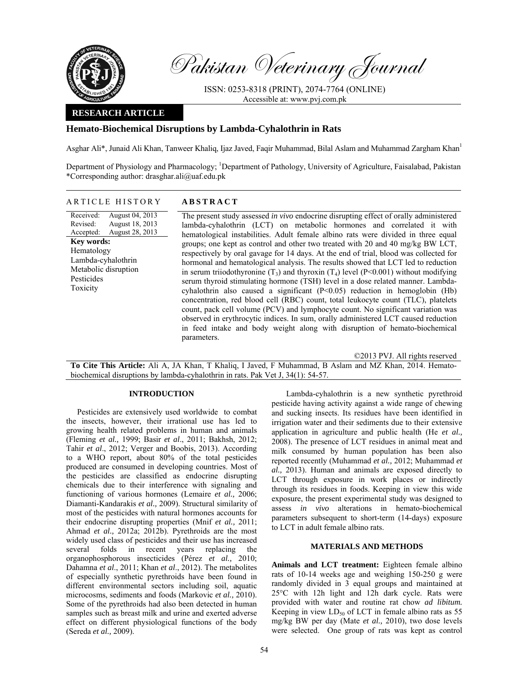

Pakistan Veterinary Journal

ISSN: 0253-8318 (PRINT), 2074-7764 (ONLINE) Accessible at: www.pvj.com.pk

# **RESEARCH ARTICLE**

# **Hemato-Biochemical Disruptions by Lambda-Cyhalothrin in Rats**

Asghar Ali\*, Junaid Ali Khan, Tanweer Khaliq, Ijaz Javed, Faqir Muhammad, Bilal Aslam and Muhammad Zargham Khan1

Department of Physiology and Pharmacology; <sup>1</sup>Department of Pathology, University of Agriculture, Faisalabad, Pakistan \*Corresponding author: drasghar.ali@uaf.edu.pk

## ARTICLE HISTORY **ABSTRACT**

Received: Revised: Accepted: August 04, 2013 August 18, 2013 August 28, 2013 **Key words:**  Hematology Lambda-cyhalothrin Metabolic disruption Pesticides Toxicity

 The present study assessed *in vivo* endocrine disrupting effect of orally administered lambda-cyhalothrin (LCT) on metabolic hormones and correlated it with hematological instabilities. Adult female albino rats were divided in three equal groups; one kept as control and other two treated with 20 and 40 mg/kg BW LCT, respectively by oral gavage for 14 days. At the end of trial, blood was collected for hormonal and hematological analysis. The results showed that LCT led to reduction in serum triiodothyronine  $(T_3)$  and thyroxin  $(T_4)$  level  $(P<0.001)$  without modifying serum thyroid stimulating hormone (TSH) level in a dose related manner. Lambdacyhalothrin also caused a significant (P<0.05) reduction in hemoglobin (Hb) concentration, red blood cell (RBC) count, total leukocyte count (TLC), platelets count, pack cell volume (PCV) and lymphocyte count. No significant variation was observed in erythrocytic indices. In sum, orally administered LCT caused reduction in feed intake and body weight along with disruption of hemato-biochemical parameters.

©2013 PVJ. All rights reserved

**To Cite This Article:** Ali A, JA Khan, T Khaliq, I Javed, F Muhammad, B Aslam and MZ Khan, 2014. Hematobiochemical disruptions by lambda-cyhalothrin in rats. Pak Vet J, 34(1): 54-57.

# **INTRODUCTION**

Pesticides are extensively used worldwide to combat the insects, however, their irrational use has led to growing health related problems in human and animals (Fleming *et al.,* 1999; Basir *et al*., 2011; Bakhsh, 2012; Tahir *et al*., 2012; Verger and Boobis, 2013). According to a WHO report, about 80% of the total pesticides produced are consumed in developing countries. Most of the pesticides are classified as endocrine disrupting chemicals due to their interference with signaling and functioning of various hormones (Lemaire *et al.,* 2006; Diamanti-Kandarakis *et al.,* 2009). Structural similarity of most of the pesticides with natural hormones accounts for their endocrine disrupting properties (Mnif *et al.,* 2011; Ahmad *et al.,* 2012a; 2012b). Pyrethroids are the most widely used class of pesticides and their use has increased several folds in recent years replacing the organophosphorous insecticides (Pérez *et al.,* 2010; Dahamna *et al*., 2011; Khan *et al*., 2012). The metabolites of especially synthetic pyrethroids have been found in different environmental sectors including soil, aquatic microcosms, sediments and foods (Markovic *et al.,* 2010). Some of the pyrethroids had also been detected in human samples such as breast milk and urine and exerted adverse effect on different physiological functions of the body (Sereda *et al.,* 2009).

Lambda-cyhalothrin is a new synthetic pyrethroid pesticide having activity against a wide range of chewing and sucking insects. Its residues have been identified in irrigation water and their sediments due to their extensive application in agriculture and public health (He *et al.,* 2008). The presence of LCT residues in animal meat and milk consumed by human population has been also reported recently (Muhammad *et al.,* 2012; Muhammad *et al.,* 2013). Human and animals are exposed directly to LCT through exposure in work places or indirectly through its residues in foods. Keeping in view this wide exposure, the present experimental study was designed to assess *in vivo* alterations in hemato-biochemical parameters subsequent to short-term (14-days) exposure to LCT in adult female albino rats.

## **MATERIALS AND METHODS**

**Animals and LCT treatment:** Eighteen female albino rats of 10-14 weeks age and weighing 150-250 g were randomly divided in 3 equal groups and maintained at 25°C with 12h light and 12h dark cycle. Rats were provided with water and routine rat chow *ad libitum.* Keeping in view  $LD_{50}$  of LCT in female albino rats as 55 mg/kg BW per day (Mate *et al.,* 2010), two dose levels were selected. One group of rats was kept as control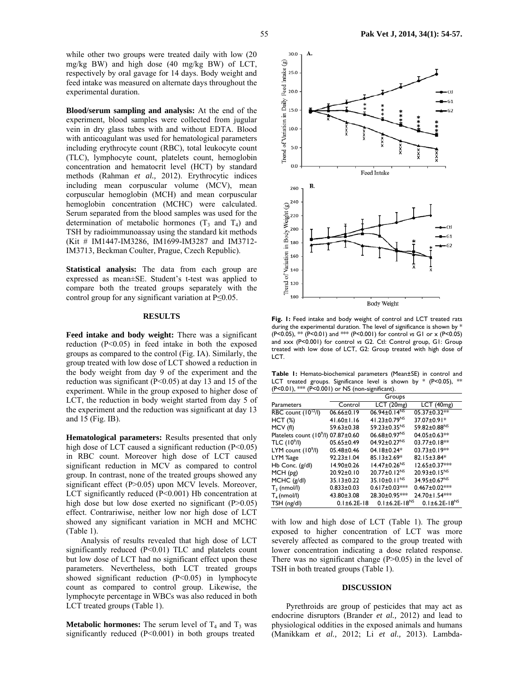while other two groups were treated daily with low (20 mg/kg BW) and high dose (40 mg/kg BW) of LCT, respectively by oral gavage for 14 days. Body weight and feed intake was measured on alternate days throughout the experimental duration.

**Blood/serum sampling and analysis:** At the end of the experiment, blood samples were collected from jugular vein in dry glass tubes with and without EDTA. Blood with anticoagulant was used for hematological parameters including erythrocyte count (RBC), total leukocyte count (TLC), lymphocyte count, platelets count, hemoglobin concentration and hematocrit level (HCT) by standard methods (Rahman *et al.,* 2012). Erythrocytic indices including mean corpuscular volume (MCV), mean corpuscular hemoglobin (MCH) and mean corpuscular hemoglobin concentration (MCHC) were calculated. Serum separated from the blood samples was used for the determination of metabolic hormones  $(T_3 \text{ and } T_4)$  and TSH by radioimmunoassay using the standard kit methods (Kit # IM1447-IM3286, IM1699-IM3287 and IM3712- IM3713, Beckman Coulter, Prague, Czech Republic).

**Statistical analysis:** The data from each group are expressed as mean±SE. Student's t-test was applied to compare both the treated groups separately with the control group for any significant variation at P≤0.05.

## **RESULTS**

**Feed intake and body weight:** There was a significant reduction (P<0.05) in feed intake in both the exposed groups as compared to the control (Fig. IA). Similarly, the group treated with low dose of LCT showed a reduction in the body weight from day 9 of the experiment and the reduction was significant (P<0.05) at day 13 and 15 of the experiment. While in the group exposed to higher dose of LCT, the reduction in body weight started from day 5 of the experiment and the reduction was significant at day 13 and 15 (Fig. IB).

**Hematological parameters:** Results presented that only high dose of LCT caused a significant reduction (P<0.05) in RBC count. Moreover high dose of LCT caused significant reduction in MCV as compared to control group. In contrast, none of the treated groups showed any significant effect (P>0.05) upon MCV levels. Moreover, LCT significantly reduced (P<0.001) Hb concentration at high dose but low dose exerted no significant  $(P>0.05)$ effect. Contrariwise, neither low nor high dose of LCT showed any significant variation in MCH and MCHC (Table 1).

Analysis of results revealed that high dose of LCT significantly reduced (P<0.01) TLC and platelets count but low dose of LCT had no significant effect upon these parameters. Nevertheless, both LCT treated groups showed significant reduction (P<0.05) in lymphocyte count as compared to control group. Likewise, the lymphocyte percentage in WBCs was also reduced in both LCT treated groups (Table 1).

**Metabolic hormones:** The serum level of  $T_4$  and  $T_3$  was significantly reduced (P<0.001) in both groups treated



Fig. 1: Feed intake and body weight of control and LCT treated rats during the experimental duration. The level of significance is shown by \* (P<0.05), \*\* (P<0.01) and \*\*\* (P<0.001) for control *vs* G1 or x (P<0.05) and xxx (P<0.001) for control *vs* G2. Ctl: Control group, G1: Group treated with low dose of LCT, G2: Group treated with high dose of LCT.

**Table 1:** Hemato-biochemical parameters (Mean±SE) in control and LCT treated groups. Significance level is shown by  $*$  (P<0.05),  $**$ (P<0.01), \*\*\* (P<0.001) or NS (non-significant).

|                                                 |                     | Groups                         |                          |
|-------------------------------------------------|---------------------|--------------------------------|--------------------------|
| <b>Parameters</b>                               | Control             | LCT(20mg)                      | LCT(40mg)                |
| RBC count $(10^{12}/I)$                         | $06.66 \pm 0.19$    | $06.94 \pm 0.14^{NS}$          | 05.37±0.32**             |
| HCT(%)                                          | $41.60 \pm 1.16$    | 41.23±0.79 <sup>NS</sup>       | 37.07±0.91*              |
| MCV (fl)                                        | 59.63±0.38          | 59.23±0.35 <sup>NS</sup>       | 59.82±0.88NS             |
| Platelets count (10 <sup>9</sup> /l) 07.87±0.60 |                     | 06.68±0.97 <sup>NS</sup>       | 04.05±0.63**             |
| TLC (10 <sup>9</sup> /l)                        | $05.65 \pm 0.49$    | 04.92±0.27 <sup>NS</sup>       | 03.77±0.18**             |
| $LYM$ count $(109/I)$                           | 05.48±0.46          | $04.18 \pm 0.24*$              | 03.73±0.19**             |
| LYM %age                                        | $92.23 \pm 1.04$    | $85.13 \pm 2.69*$              | 82.15±3.84*              |
| Hb Conc. $(g/d)$                                | 14.90±0.26          | $14.47 \pm 0.26^{NS}$          | 12.65±0.37***            |
| MCH(pg)                                         | $20.92 \pm 0.10$    | $20.77 \pm 0.12^{NS}$          | 20.93±0.15 <sup>NS</sup> |
| $MCHC$ ( $g/dl$ )                               | $35.13 \pm 0.22$    | 35.10 $\pm$ 0.11 <sup>NS</sup> | 34.95±0.67 <sup>NS</sup> |
| $T_3$ (nmol/l)                                  | $0.833 \pm 0.03$    | $0.617 \pm 0.03$ ***           | 0.467±0.02***            |
| $T_4$ (nmol/l)                                  | $43.80 \pm 3.08$    | 28.30±0.95***                  | 24.70±1.54***            |
| TSH (ng/dl)                                     | $0.1 \pm 6.2E - 18$ | $0.1 \pm 6.2E - 18^{NS}$       | $0.1 \pm 6.2E - 18^{NS}$ |

with low and high dose of LCT (Table 1). The group exposed to higher concentration of LCT was more severely affected as compared to the group treated with lower concentration indicating a dose related response. There was no significant change  $(P>0.05)$  in the level of TSH in both treated groups (Table 1).

#### **DISCUSSION**

Pyrethroids are group of pesticides that may act as endocrine disruptors (Brander *et al.,* 2012) and lead to physiological oddities in the exposed animals and humans (Manikkam *et al.,* 2012; Li *et al.,* 2013). Lambda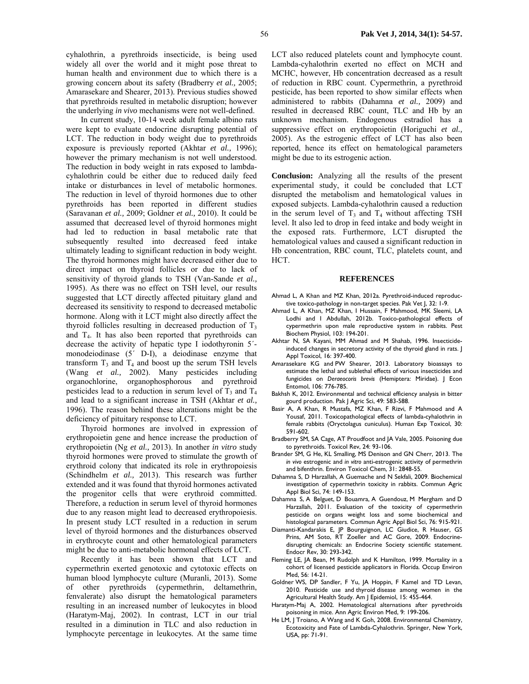cyhalothrin, a pyrethroids insecticide, is being used widely all over the world and it might pose threat to human health and environment due to which there is a growing concern about its safety (Bradberry *et al.,* 2005; Amarasekare and Shearer, 2013). Previous studies showed that pyrethroids resulted in metabolic disruption; however the underlying *in vivo* mechanisms were not well-defined.

In current study, 10-14 week adult female albino rats were kept to evaluate endocrine disrupting potential of LCT. The reduction in body weight due to pyrethroids exposure is previously reported (Akhtar *et al.,* 1996); however the primary mechanism is not well understood. The reduction in body weight in rats exposed to lambdacyhalothrin could be either due to reduced daily feed intake or disturbances in level of metabolic hormones. The reduction in level of thyroid hormones due to other pyrethroids has been reported in different studies (Saravanan *et al.,* 2009; Goldner *et al.,* 2010). It could be assumed that decreased level of thyroid hormones might had led to reduction in basal metabolic rate that subsequently resulted into decreased feed intake ultimately leading to significant reduction in body weight. The thyroid hormones might have decreased either due to direct impact on thyroid follicles or due to lack of sensitivity of thyroid glands to TSH (Van-Sande *et al.,* 1995). As there was no effect on TSH level, our results suggested that LCT directly affected pituitary gland and decreased its sensitivity to respond to decreased metabolic hormone. Along with it LCT might also directly affect the thyroid follicles resulting in decreased production of  $T<sub>3</sub>$ and  $T<sub>4</sub>$ . It has also been reported that pyrethroids can decrease the activity of hepatic type I iodothyronin 5´ monodeiodinase (5´ D-I), a deiodinase enzyme that transform  $T_3$  and  $T_4$  and boost up the serum TSH levels (Wang *et al.,* 2002). Many pesticides including organochlorine, organophosphorous and pyrethroid pesticides lead to a reduction in serum level of  $T_3$  and  $T_4$ and lead to a significant increase in TSH (Akhtar *et al.,* 1996). The reason behind these alterations might be the deficiency of pituitary response to LCT.

Thyroid hormones are involved in expression of erythropoietin gene and hence increase the production of erythropoietin (Ng *et al.,* 2013). In another *in vitro* study thyroid hormones were proved to stimulate the growth of erythroid colony that indicated its role in erythropoiesis (Schindhelm *et al.,* 2013). This research was further extended and it was found that thyroid hormones activated the progenitor cells that were erythroid committed. Therefore, a reduction in serum level of thyroid hormones due to any reason might lead to decreased erythropoiesis. In present study LCT resulted in a reduction in serum level of thyroid hormones and the disturbances observed in erythrocyte count and other hematological parameters might be due to anti-metabolic hormonal effects of LCT.

Recently it has been shown that LCT and cypermethrin exerted genotoxic and cytotoxic effects on human blood lymphocyte culture (Muranli, 2013). Some of other pyrethroids (cypermethrin, deltamethrin, fenvalerate) also disrupt the hematological parameters resulting in an increased number of leukocytes in blood (Haratym-Maj, 2002). In contrast, LCT in our trial resulted in a diminution in TLC and also reduction in lymphocyte percentage in leukocytes. At the same time

LCT also reduced platelets count and lymphocyte count. Lambda-cyhalothrin exerted no effect on MCH and MCHC, however, Hb concentration decreased as a result of reduction in RBC count. Cypermethrin, a pyrethroid pesticide, has been reported to show similar effects when administered to rabbits (Dahamna *et al.,* 2009) and resulted in decreased RBC count, TLC and Hb by an unknown mechanism. Endogenous estradiol has a suppressive effect on erythropoietin (Horiguchi *et al.,* 2005). As the estrogenic effect of LCT has also been reported, hence its effect on hematological parameters might be due to its estrogenic action.

**Conclusion:** Analyzing all the results of the present experimental study, it could be concluded that LCT disrupted the metabolism and hematological values in exposed subjects. Lambda-cyhalothrin caused a reduction in the serum level of  $T_3$  and  $T_4$  without affecting TSH level. It also led to drop in feed intake and body weight in the exposed rats. Furthermore, LCT disrupted the hematological values and caused a significant reduction in Hb concentration, RBC count, TLC, platelets count, and HCT.

#### **REFERENCES**

- Ahmad L, A Khan and MZ Khan, 2012a. Pyrethroid-induced reproductive toxico-pathology in non-target species. Pak Vet J, 32: 1-9.
- Ahmad L, A Khan, MZ Khan, I Hussain, F Mahmood, MK Sleemi, LA Lodhi and I Abdullah, 2012b. Toxico-pathological effects of cypermethrin upon male reproductive system in rabbits. Pest Biochem Physiol, 103: 194-201.
- Akhtar N, SA Kayani, MM Ahmad and M Shahab, 1996. Insecticideinduced changes in secretory activity of the thyroid gland in rats. J Appl Toxicol, 16: 397-400.
- Amarasekare KG and PW Shearer, 2013. Laboratory bioassays to estimate the lethal and sublethal effects of various insecticides and fungicides on *Deraeocoris brevis* (Hemiptera: Miridae). J Econ Entomol, 106: 776-785.
- Bakhsh K, 2012. Environmental and technical efficiency analysis in bitter gourd production. Pak J Agric Sci, 49: 583-588.
- Basir A, A Khan, R Mustafa, MZ Khan, F Rizvi, F Mahmood and A Yousaf, 2011. Toxicopathological effects of lambda-cyhalothrin in female rabbits (Oryctolagus cuniculus). Human Exp Toxicol, 30: 591-602.
- Bradberry SM, SA Cage, AT Proudfoot and JA Vale, 2005. Poisoning due to pyrethroids. Toxicol Rev, 24: 93-106.
- Brander SM, G He, KL Smalling, MS Denison and GN Cherr, 2013. The *in vivo* estrogenic and *in vitro* anti-estrogenic activity of permethrin and bifenthrin. Environ Toxicol Chem, 31: 2848-55.
- Dahamna S, D Harzallah, A Guemache and N Sekfali, 2009. Biochemical investigation of cypermethrin toxicity in rabbits. Commun Agric Appl Biol Sci, 74: 149-153.
- Dahamna S, A Belguet, D Bouamra, A Guendouz, M Mergham and D Harzallah, 2011. Evaluation of the toxicity of cypermethrin pesticide on organs weight loss and some biochemical and histological parameters. Commun Agric Appl Biol Sci, 76: 915-921.
- Diamanti-Kandarakis E, JP Bourguignon, LC Giudice, R Hauser, GS Prins, AM Soto, RT Zoeller and AC Gore, 2009. Endocrinedisrupting chemicals: an Endocrine Society scientific statement. Endocr Rev, 30: 293-342.
- Fleming LE, JA Bean, M Rudolph and K Hamilton, 1999. Mortality in a cohort of licensed pesticide applicators in Florida. Occup Environ Med, 56: 14-21.
- Goldner WS, DP Sandler, F Yu, JA Hoppin, F Kamel and TD Levan, 2010. Pesticide use and thyroid disease among women in the Agricultural Health Study. Am J Epidemiol, 15: 455-464.
- Haratym-Maj A, 2002. Hematological alternations after pyrethroids poisoning in mice. Ann Agric Environ Med, 9: 199-206.
- He LM, J Troiano, A Wang and K Goh, 2008. Environmental Chemistry, Ecotoxicity and Fate of Lambda-Cyhalothrin. Springer, New York, USA, pp: 71-91.